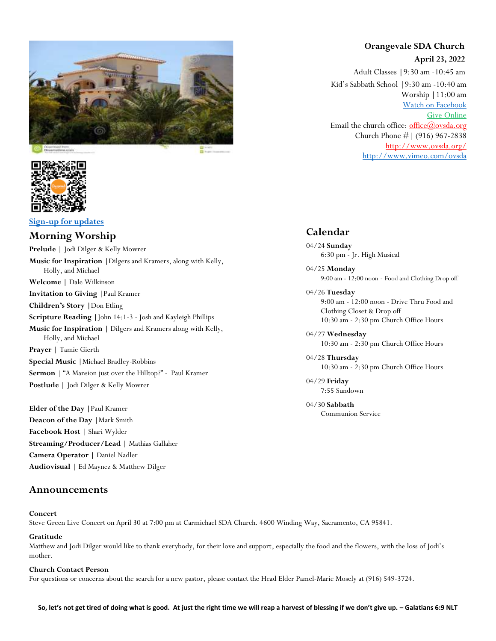



### **[Sign-up for updates](https://app.textinchurch.com/groups/familyform/MzE0NDM)**

## **Morning Worship**

**Prelude |** Jodi Dilger & Kelly Mowrer **Music for Inspiration |**Dilgers and Kramers, along with Kelly, Holly, and Michael **Welcome |** Dale Wilkinson **Invitation to Giving |**Paul Kramer **Children's Story |**Don Etling **Scripture Reading |**John 14:1-3 - Josh and Kayleigh Phillips **Music for Inspiration |** Dilgers and Kramers along with Kelly, Holly, and Michael **Prayer |** Tamie Gierth **Special Music |**Michael Bradley-Robbins **Sermon** | "A Mansion just over the Hilltop?" - Paul Kramer **Postlude |** Jodi Dilger & Kelly Mowrer

**Elder of the Day |**Paul Kramer **Deacon of the Day |**Mark Smith **Facebook Host |** Shari Wylder **Streaming/Producer/Lead |** Mathias Gallaher **Camera Operator |** Daniel Nadler **Audiovisual |** Ed Maynez & Matthew Dilger

### **Announcements**

#### **Concert**

Steve Green Live Concert on April 30 at 7:00 pm at Carmichael SDA Church. 4600 Winding Way, Sacramento, CA 95841.

#### **Gratitude**

Matthew and Jodi Dilger would like to thank everybody, for their love and support, especially the food and the flowers, with the loss of Jodi's mother.

#### **Church Contact Person**

For questions or concerns about the search for a new pastor, please contact the Head Elder Pamel-Marie Mosely at (916) 549-3724.

**Orangevale SDA Church April 23, 2022** Adult Classes **|**9:30 am -10:45 am Kid's Sabbath School **|**9:30 am -10:40 am

Worship **|**11:00 am [Watch on Facebook](https://www.facebook.com/OrangevaleSDAChurch) [Give Online](https://adventistgiving.org/#/org/ANPIK1/envelope/start) Email the church office: office $@$ ovsda.org Church Phone #| (916) 967-2838 <http://www.ovsda.org/> <http://www.vimeo.com/ovsda>

## **Calendar**

04/24 **Sunday** 6:30 pm - Jr. High Musical

04/25 **Monday** 9:00 am - 12:00 noon - Food and Clothing Drop off

04/26 **Tuesday** 9:00 am - 12:00 noon - Drive Thru Food and Clothing Closet & Drop off 10:30 am - 2:30 pm Church Office Hours

04/27 **Wednesday** 10:30 am - 2:30 pm Church Office Hours

04/28 **Thursday** 10:30 am - 2:30 pm Church Office Hours

04/29 **Friday** 7:55 Sundown

04/30 **Sabbath** Communion Service